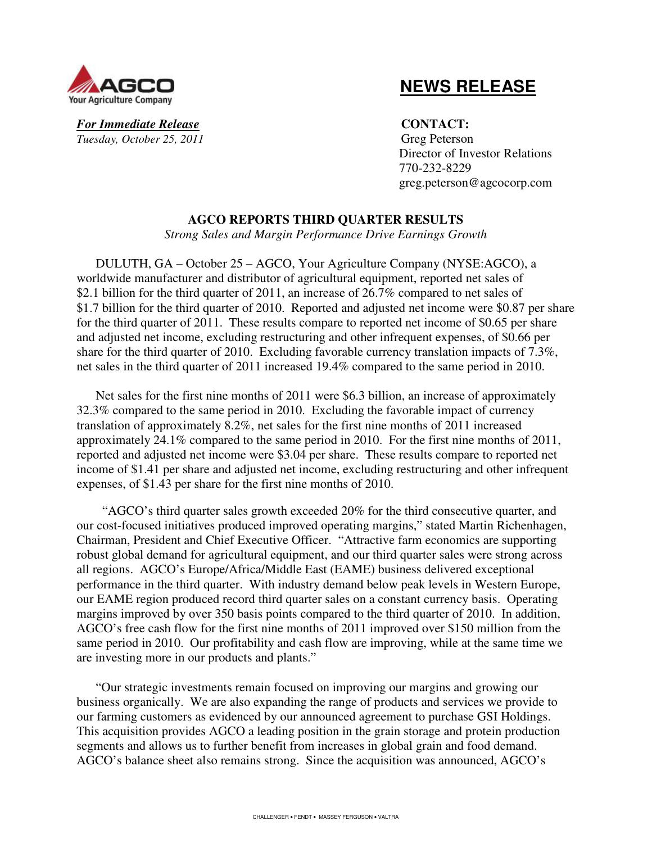

 **NEWS RELEASE**

**For Immediate Release CONTACT:** *Tuesday, October 25, 2011* Greg Peterson

 Director of Investor Relations 770-232-8229 greg.peterson@agcocorp.com

## **AGCO REPORTS THIRD QUARTER RESULTS**

*Strong Sales and Margin Performance Drive Earnings Growth* 

DULUTH, GA – October 25 – AGCO, Your Agriculture Company (NYSE:AGCO), a worldwide manufacturer and distributor of agricultural equipment, reported net sales of \$2.1 billion for the third quarter of 2011, an increase of 26.7% compared to net sales of \$1.7 billion for the third quarter of 2010. Reported and adjusted net income were \$0.87 per share for the third quarter of 2011. These results compare to reported net income of \$0.65 per share and adjusted net income, excluding restructuring and other infrequent expenses, of \$0.66 per share for the third quarter of 2010. Excluding favorable currency translation impacts of 7.3%, net sales in the third quarter of 2011 increased 19.4% compared to the same period in 2010.

Net sales for the first nine months of 2011 were \$6.3 billion, an increase of approximately 32.3% compared to the same period in 2010. Excluding the favorable impact of currency translation of approximately 8.2%, net sales for the first nine months of 2011 increased approximately 24.1% compared to the same period in 2010. For the first nine months of 2011, reported and adjusted net income were \$3.04 per share. These results compare to reported net income of \$1.41 per share and adjusted net income, excluding restructuring and other infrequent expenses, of \$1.43 per share for the first nine months of 2010.

 "AGCO's third quarter sales growth exceeded 20% for the third consecutive quarter, and our cost-focused initiatives produced improved operating margins," stated Martin Richenhagen, Chairman, President and Chief Executive Officer. "Attractive farm economics are supporting robust global demand for agricultural equipment, and our third quarter sales were strong across all regions. AGCO's Europe/Africa/Middle East (EAME) business delivered exceptional performance in the third quarter. With industry demand below peak levels in Western Europe, our EAME region produced record third quarter sales on a constant currency basis. Operating margins improved by over 350 basis points compared to the third quarter of 2010. In addition, AGCO's free cash flow for the first nine months of 2011 improved over \$150 million from the same period in 2010. Our profitability and cash flow are improving, while at the same time we are investing more in our products and plants."

"Our strategic investments remain focused on improving our margins and growing our business organically. We are also expanding the range of products and services we provide to our farming customers as evidenced by our announced agreement to purchase GSI Holdings. This acquisition provides AGCO a leading position in the grain storage and protein production segments and allows us to further benefit from increases in global grain and food demand. AGCO's balance sheet also remains strong. Since the acquisition was announced, AGCO's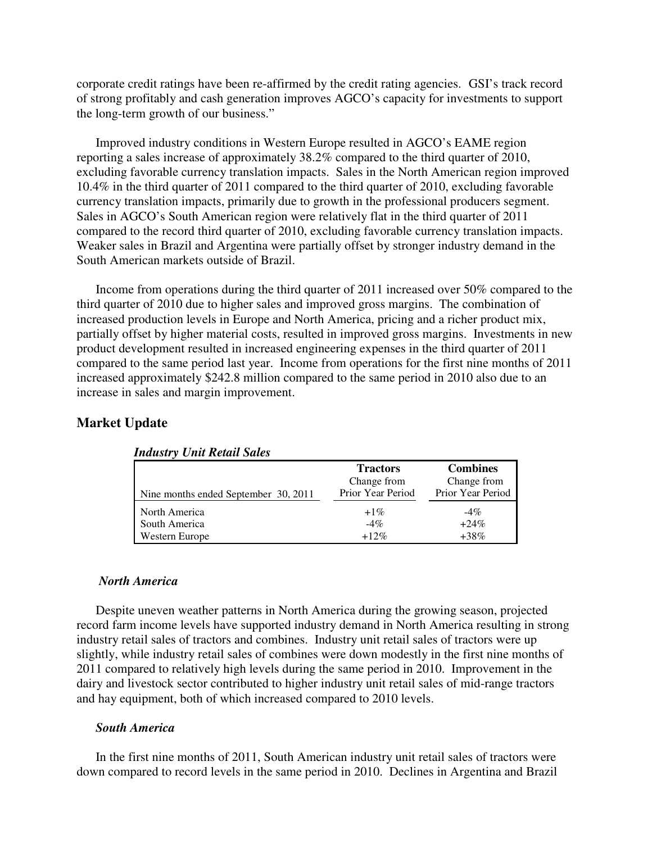corporate credit ratings have been re-affirmed by the credit rating agencies.GSI's track record of strong profitably and cash generation improves AGCO's capacity for investments to support the long-term growth of our business."

Improved industry conditions in Western Europe resulted in AGCO's EAME region reporting a sales increase of approximately 38.2% compared to the third quarter of 2010, excluding favorable currency translation impacts. Sales in the North American region improved 10.4% in the third quarter of 2011 compared to the third quarter of 2010, excluding favorable currency translation impacts, primarily due to growth in the professional producers segment. Sales in AGCO's South American region were relatively flat in the third quarter of 2011 compared to the record third quarter of 2010, excluding favorable currency translation impacts. Weaker sales in Brazil and Argentina were partially offset by stronger industry demand in the South American markets outside of Brazil.

Income from operations during the third quarter of 2011 increased over 50% compared to the third quarter of 2010 due to higher sales and improved gross margins. The combination of increased production levels in Europe and North America, pricing and a richer product mix, partially offset by higher material costs, resulted in improved gross margins. Investments in new product development resulted in increased engineering expenses in the third quarter of 2011 compared to the same period last year. Income from operations for the first nine months of 2011 increased approximately \$242.8 million compared to the same period in 2010 also due to an increase in sales and margin improvement.

## **Market Update**

|                                      | <b>Tractors</b>   | <b>Combines</b>   |
|--------------------------------------|-------------------|-------------------|
|                                      | Change from       | Change from       |
| Nine months ended September 30, 2011 | Prior Year Period | Prior Year Period |
| North America                        | $+1\%$            | $-4\%$            |
| South America                        | $-4\%$            | $+24\%$           |
| Western Europe                       | $+12%$            | $+38\%$           |

*Industry Unit Retail Sales* 

### *North America*

Despite uneven weather patterns in North America during the growing season, projected record farm income levels have supported industry demand in North America resulting in strong industry retail sales of tractors and combines. Industry unit retail sales of tractors were up slightly, while industry retail sales of combines were down modestly in the first nine months of 2011 compared to relatively high levels during the same period in 2010. Improvement in the dairy and livestock sector contributed to higher industry unit retail sales of mid-range tractors and hay equipment, both of which increased compared to 2010 levels.

## *South America*

In the first nine months of 2011, South American industry unit retail sales of tractors were down compared to record levels in the same period in 2010. Declines in Argentina and Brazil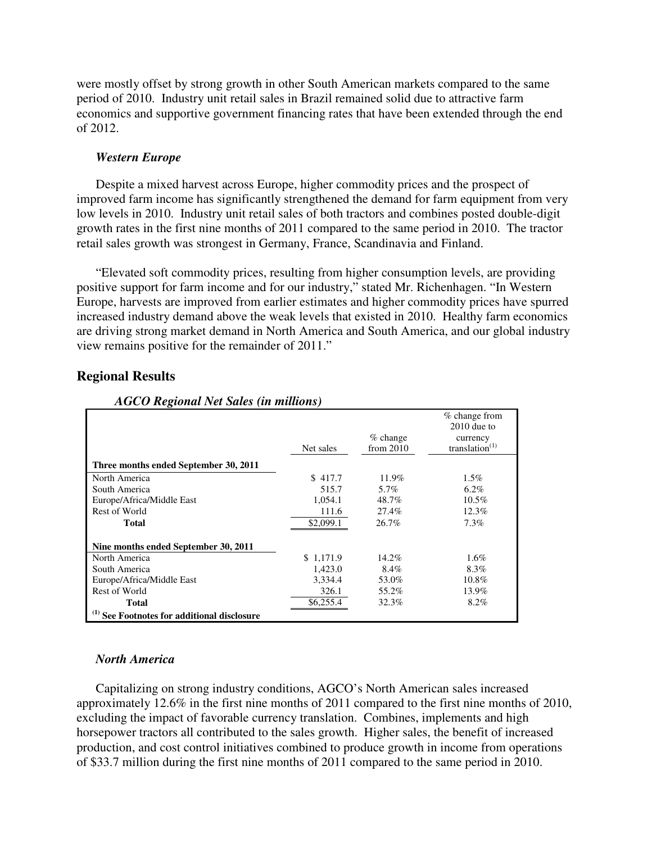were mostly offset by strong growth in other South American markets compared to the same period of 2010. Industry unit retail sales in Brazil remained solid due to attractive farm economics and supportive government financing rates that have been extended through the end of 2012.

## *Western Europe*

Despite a mixed harvest across Europe, higher commodity prices and the prospect of improved farm income has significantly strengthened the demand for farm equipment from very low levels in 2010. Industry unit retail sales of both tractors and combines posted double-digit growth rates in the first nine months of 2011 compared to the same period in 2010. The tractor retail sales growth was strongest in Germany, France, Scandinavia and Finland.

"Elevated soft commodity prices, resulting from higher consumption levels, are providing positive support for farm income and for our industry," stated Mr. Richenhagen. "In Western Europe, harvests are improved from earlier estimates and higher commodity prices have spurred increased industry demand above the weak levels that existed in 2010. Healthy farm economics are driving strong market demand in North America and South America, and our global industry view remains positive for the remainder of 2011."

| AGCO Regional Net Sales (in millions)                  |           |                           |                                                                 |
|--------------------------------------------------------|-----------|---------------------------|-----------------------------------------------------------------|
|                                                        | Net sales | $%$ change<br>from $2010$ | % change from<br>$2010$ due to<br>currency<br>translation $(1)$ |
| Three months ended September 30, 2011                  |           |                           |                                                                 |
| North America                                          | \$417.7   | 11.9%                     | $1.5\%$                                                         |
| South America                                          | 515.7     | 5.7%                      | $6.2\%$                                                         |
| Europe/Africa/Middle East                              | 1.054.1   | 48.7%                     | $10.5\%$                                                        |
| Rest of World                                          | 111.6     | 27.4%                     | 12.3%                                                           |
| Total                                                  | \$2,099.1 | 26.7%                     | 7.3%                                                            |
| Nine months ended September 30, 2011                   |           |                           |                                                                 |
| North America                                          | \$1,171.9 | 14.2%                     | $1.6\%$                                                         |
| South America                                          | 1,423.0   | 8.4%                      | 8.3%                                                            |
| Europe/Africa/Middle East                              | 3.334.4   | 53.0%                     | 10.8%                                                           |
| Rest of World                                          | 326.1     | 55.2%                     | 13.9%                                                           |
| Total                                                  | \$6,255.4 | 32.3%                     | 8.2%                                                            |
| <sup>(1)</sup> See Footnotes for additional disclosure |           |                           |                                                                 |

## **Regional Results**

## *North America*

Capitalizing on strong industry conditions, AGCO's North American sales increased approximately 12.6% in the first nine months of 2011 compared to the first nine months of 2010, excluding the impact of favorable currency translation. Combines, implements and high horsepower tractors all contributed to the sales growth. Higher sales, the benefit of increased production, and cost control initiatives combined to produce growth in income from operations of \$33.7 million during the first nine months of 2011 compared to the same period in 2010.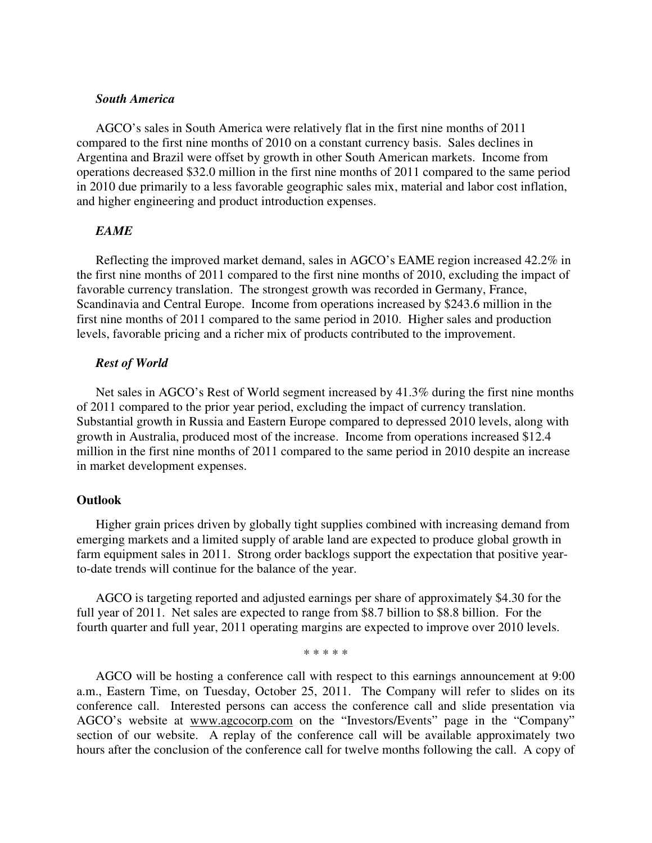## *South America*

AGCO's sales in South America were relatively flat in the first nine months of 2011 compared to the first nine months of 2010 on a constant currency basis. Sales declines in Argentina and Brazil were offset by growth in other South American markets. Income from operations decreased \$32.0 million in the first nine months of 2011 compared to the same period in 2010 due primarily to a less favorable geographic sales mix, material and labor cost inflation, and higher engineering and product introduction expenses.

## *EAME*

Reflecting the improved market demand, sales in AGCO's EAME region increased 42.2% in the first nine months of 2011 compared to the first nine months of 2010, excluding the impact of favorable currency translation. The strongest growth was recorded in Germany, France, Scandinavia and Central Europe. Income from operations increased by \$243.6 million in the first nine months of 2011 compared to the same period in 2010. Higher sales and production levels, favorable pricing and a richer mix of products contributed to the improvement.

## *Rest of World*

Net sales in AGCO's Rest of World segment increased by 41.3% during the first nine months of 2011 compared to the prior year period, excluding the impact of currency translation. Substantial growth in Russia and Eastern Europe compared to depressed 2010 levels, along with growth in Australia, produced most of the increase. Income from operations increased \$12.4 million in the first nine months of 2011 compared to the same period in 2010 despite an increase in market development expenses.

### **Outlook**

Higher grain prices driven by globally tight supplies combined with increasing demand from emerging markets and a limited supply of arable land are expected to produce global growth in farm equipment sales in 2011. Strong order backlogs support the expectation that positive yearto-date trends will continue for the balance of the year.

AGCO is targeting reported and adjusted earnings per share of approximately \$4.30 for the full year of 2011. Net sales are expected to range from \$8.7 billion to \$8.8 billion. For the fourth quarter and full year, 2011 operating margins are expected to improve over 2010 levels.

\* \* \* \* \*

AGCO will be hosting a conference call with respect to this earnings announcement at 9:00 a.m., Eastern Time, on Tuesday, October 25, 2011. The Company will refer to slides on its conference call. Interested persons can access the conference call and slide presentation via AGCO's website at www.agcocorp.com on the "Investors/Events" page in the "Company" section of our website. A replay of the conference call will be available approximately two hours after the conclusion of the conference call for twelve months following the call. A copy of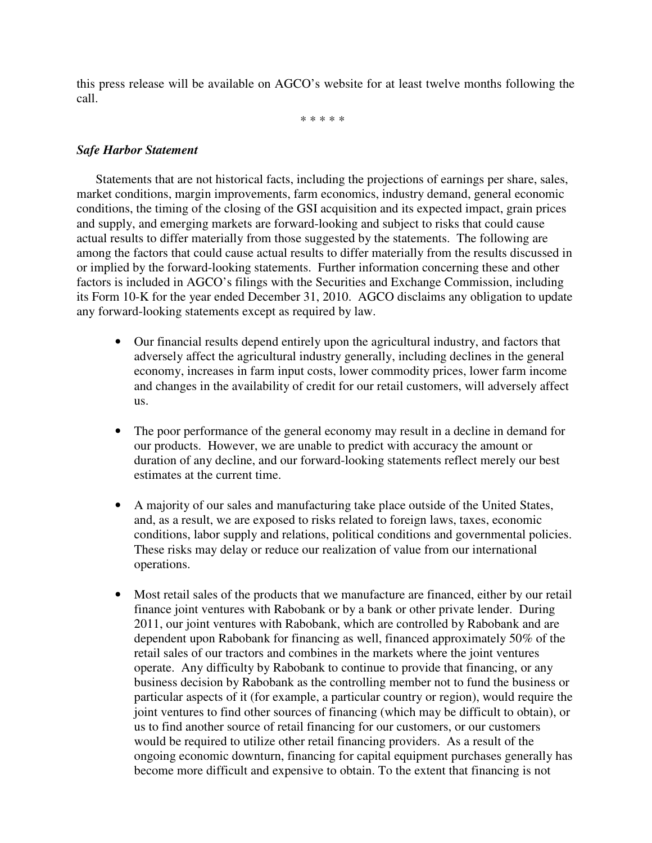this press release will be available on AGCO's website for at least twelve months following the call.

\* \* \* \* \*

## *Safe Harbor Statement*

Statements that are not historical facts, including the projections of earnings per share, sales, market conditions, margin improvements, farm economics, industry demand, general economic conditions, the timing of the closing of the GSI acquisition and its expected impact, grain prices and supply, and emerging markets are forward-looking and subject to risks that could cause actual results to differ materially from those suggested by the statements. The following are among the factors that could cause actual results to differ materially from the results discussed in or implied by the forward-looking statements. Further information concerning these and other factors is included in AGCO's filings with the Securities and Exchange Commission, including its Form 10-K for the year ended December 31, 2010. AGCO disclaims any obligation to update any forward-looking statements except as required by law.

- Our financial results depend entirely upon the agricultural industry, and factors that adversely affect the agricultural industry generally, including declines in the general economy, increases in farm input costs, lower commodity prices, lower farm income and changes in the availability of credit for our retail customers, will adversely affect us.
- The poor performance of the general economy may result in a decline in demand for our products. However, we are unable to predict with accuracy the amount or duration of any decline, and our forward-looking statements reflect merely our best estimates at the current time.
- A majority of our sales and manufacturing take place outside of the United States, and, as a result, we are exposed to risks related to foreign laws, taxes, economic conditions, labor supply and relations, political conditions and governmental policies. These risks may delay or reduce our realization of value from our international operations.
- Most retail sales of the products that we manufacture are financed, either by our retail finance joint ventures with Rabobank or by a bank or other private lender. During 2011, our joint ventures with Rabobank, which are controlled by Rabobank and are dependent upon Rabobank for financing as well, financed approximately 50% of the retail sales of our tractors and combines in the markets where the joint ventures operate. Any difficulty by Rabobank to continue to provide that financing, or any business decision by Rabobank as the controlling member not to fund the business or particular aspects of it (for example, a particular country or region), would require the joint ventures to find other sources of financing (which may be difficult to obtain), or us to find another source of retail financing for our customers, or our customers would be required to utilize other retail financing providers. As a result of the ongoing economic downturn, financing for capital equipment purchases generally has become more difficult and expensive to obtain. To the extent that financing is not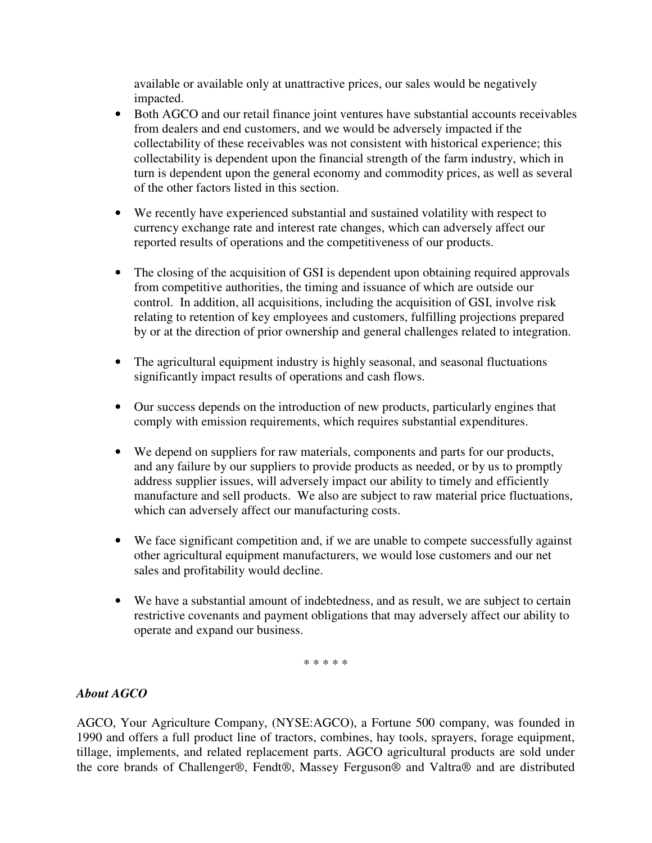available or available only at unattractive prices, our sales would be negatively impacted.

- Both AGCO and our retail finance joint ventures have substantial accounts receivables from dealers and end customers, and we would be adversely impacted if the collectability of these receivables was not consistent with historical experience; this collectability is dependent upon the financial strength of the farm industry, which in turn is dependent upon the general economy and commodity prices, as well as several of the other factors listed in this section.
- We recently have experienced substantial and sustained volatility with respect to currency exchange rate and interest rate changes, which can adversely affect our reported results of operations and the competitiveness of our products.
- The closing of the acquisition of GSI is dependent upon obtaining required approvals from competitive authorities, the timing and issuance of which are outside our control. In addition, all acquisitions, including the acquisition of GSI, involve risk relating to retention of key employees and customers, fulfilling projections prepared by or at the direction of prior ownership and general challenges related to integration.
- The agricultural equipment industry is highly seasonal, and seasonal fluctuations significantly impact results of operations and cash flows.
- Our success depends on the introduction of new products, particularly engines that comply with emission requirements, which requires substantial expenditures.
- We depend on suppliers for raw materials, components and parts for our products, and any failure by our suppliers to provide products as needed, or by us to promptly address supplier issues, will adversely impact our ability to timely and efficiently manufacture and sell products. We also are subject to raw material price fluctuations, which can adversely affect our manufacturing costs.
- We face significant competition and, if we are unable to compete successfully against other agricultural equipment manufacturers, we would lose customers and our net sales and profitability would decline.
- We have a substantial amount of indebtedness, and as result, we are subject to certain restrictive covenants and payment obligations that may adversely affect our ability to operate and expand our business.

\* \* \* \* \*

# *About AGCO*

AGCO, Your Agriculture Company, (NYSE:AGCO), a Fortune 500 company, was founded in 1990 and offers a full product line of tractors, combines, hay tools, sprayers, forage equipment, tillage, implements, and related replacement parts. AGCO agricultural products are sold under the core brands of Challenger®, Fendt®, Massey Ferguson® and Valtra® and are distributed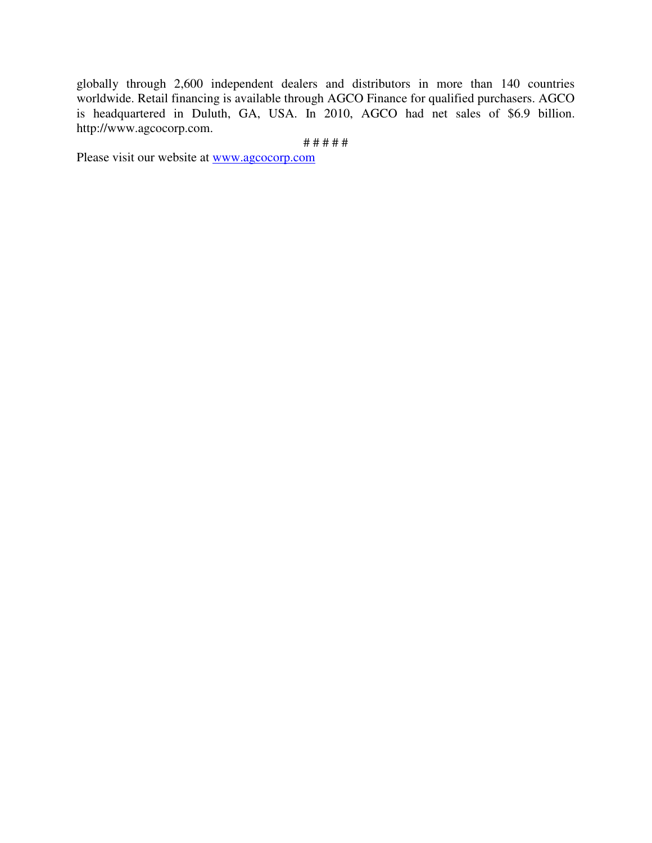globally through 2,600 independent dealers and distributors in more than 140 countries worldwide. Retail financing is available through AGCO Finance for qualified purchasers. AGCO is headquartered in Duluth, GA, USA. In 2010, AGCO had net sales of \$6.9 billion. http://www.agcocorp.com.

# # # # #

Please visit our website at www.agcocorp.com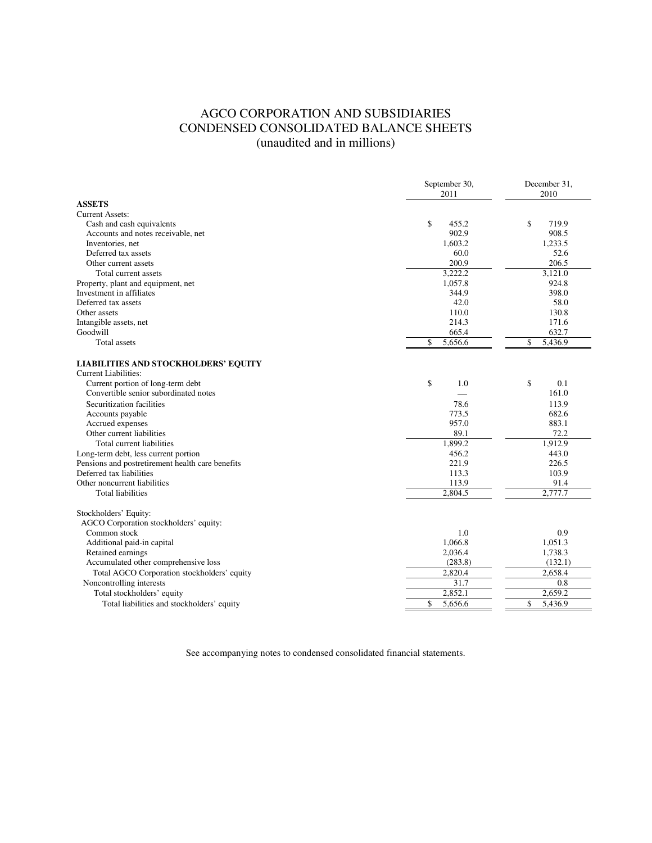# AGCO CORPORATION AND SUBSIDIARIES CONDENSED CONSOLIDATED BALANCE SHEETS (unaudited and in millions)

|                                                                            | September 30,<br>2011 | December 31,<br>2010 |  |
|----------------------------------------------------------------------------|-----------------------|----------------------|--|
| <b>ASSETS</b>                                                              |                       |                      |  |
| <b>Current Assets:</b>                                                     |                       |                      |  |
| Cash and cash equivalents                                                  | \$<br>455.2           | \$<br>719.9          |  |
| Accounts and notes receivable, net                                         | 902.9                 | 908.5                |  |
| Inventories, net                                                           | 1,603.2               | 1,233.5              |  |
| Deferred tax assets                                                        | 60.0                  | 52.6                 |  |
| Other current assets                                                       | 200.9                 | 206.5                |  |
| Total current assets                                                       | 3,222.2               | 3,121.0              |  |
| Property, plant and equipment, net                                         | 1,057.8               | 924.8                |  |
| Investment in affiliates                                                   | 344.9                 | 398.0                |  |
| Deferred tax assets                                                        | 42.0                  | 58.0                 |  |
| Other assets                                                               | 110.0                 | 130.8                |  |
| Intangible assets, net                                                     | 214.3                 | 171.6                |  |
| Goodwill                                                                   | 665.4                 | 632.7                |  |
| <b>Total</b> assets                                                        | \$<br>5,656.6         | \$<br>5,436.9        |  |
| <b>LIABILITIES AND STOCKHOLDERS' EQUITY</b><br><b>Current Liabilities:</b> |                       |                      |  |
| Current portion of long-term debt                                          | \$<br>1.0             | \$<br>0.1            |  |
| Convertible senior subordinated notes                                      |                       | 161.0                |  |
| Securitization facilities                                                  | 78.6                  | 113.9                |  |
| Accounts payable                                                           | 773.5                 | 682.6                |  |
| Accrued expenses                                                           | 957.0                 | 883.1                |  |
| Other current liabilities                                                  | 89.1                  | 72.2                 |  |
| Total current liabilities                                                  | 1,899.2               | 1,912.9              |  |
| Long-term debt, less current portion                                       | 456.2                 | 443.0                |  |
| Pensions and postretirement health care benefits                           | 221.9                 | 226.5                |  |
| Deferred tax liabilities                                                   | 113.3                 | 103.9                |  |
| Other noncurrent liabilities                                               | 113.9                 | 91.4                 |  |
| <b>Total liabilities</b>                                                   | 2.804.5               | 2,777.7              |  |
| Stockholders' Equity:                                                      |                       |                      |  |
| AGCO Corporation stockholders' equity:                                     |                       |                      |  |
| Common stock                                                               | 1.0                   | 0.9                  |  |
| Additional paid-in capital                                                 | 1,066.8               | 1,051.3              |  |
| Retained earnings                                                          | 2,036.4               | 1,738.3              |  |
| Accumulated other comprehensive loss                                       | (283.8)               | (132.1)              |  |
| Total AGCO Corporation stockholders' equity                                | 2,820.4               | 2,658.4              |  |
| Noncontrolling interests                                                   | 31.7                  | 0.8                  |  |
| Total stockholders' equity                                                 | 2,852.1               | 2,659.2              |  |
| Total liabilities and stockholders' equity                                 | \$<br>5,656.6         | \$<br>5,436.9        |  |
|                                                                            |                       |                      |  |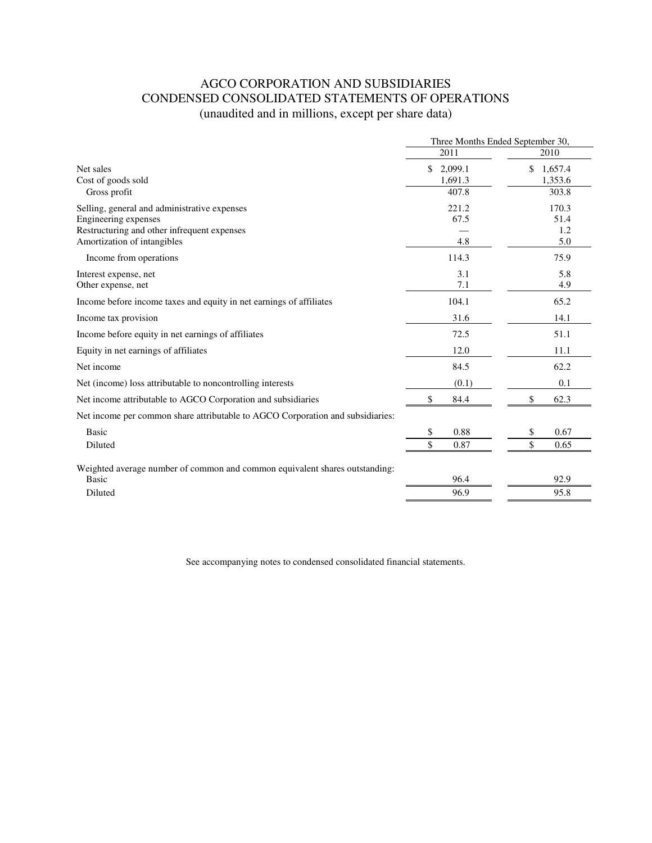# AGCO CORPORATION AND SUBSIDIARIES CONDENSED CONSOLIDATED STATEMENTS OF OPERATIONS (unaudited and in millions, except per share data)

|                                                                                | Three Months Ended September 30, |                          |  |
|--------------------------------------------------------------------------------|----------------------------------|--------------------------|--|
|                                                                                | 2011                             | 2010                     |  |
| Net sales<br>Cost of goods sold                                                | \$<br>2,099.1<br>1,691.3         | \$<br>1,657.4<br>1,353.6 |  |
| Gross profit                                                                   | 407.8                            | 303.8                    |  |
| Selling, general and administrative expenses                                   | 221.2                            | 170.3                    |  |
| Engineering expenses<br>Restructuring and other infrequent expenses            | 67.5                             | 51.4<br>1.2              |  |
| Amortization of intangibles                                                    | 4.8                              | 5.0                      |  |
| Income from operations                                                         | 114.3                            | 75.9                     |  |
| Interest expense, net                                                          | 3.1                              | 5.8                      |  |
| Other expense, net                                                             | 7.1                              | 4.9                      |  |
| Income before income taxes and equity in net earnings of affiliates            | 104.1                            | 65.2                     |  |
| Income tax provision                                                           | 31.6                             | 14.1                     |  |
| Income before equity in net earnings of affiliates                             | 72.5                             | 51.1                     |  |
| Equity in net earnings of affiliates                                           | 12.0                             | 11.1                     |  |
| Net income                                                                     | 84.5                             | 62.2                     |  |
| Net (income) loss attributable to noncontrolling interests                     | (0.1)                            | 0.1                      |  |
| Net income attributable to AGCO Corporation and subsidiaries                   | \$<br>84.4                       | 62.3<br>\$               |  |
| Net income per common share attributable to AGCO Corporation and subsidiaries: |                                  |                          |  |
| <b>Basic</b>                                                                   | 0.88<br>S                        | 0.67<br>\$               |  |
| Diluted                                                                        | $\mathbf{\hat{S}}$<br>0.87       | \$<br>0.65               |  |
| Weighted average number of common and common equivalent shares outstanding:    |                                  |                          |  |
| Basic                                                                          | 96.4                             | 92.9                     |  |
| Diluted                                                                        | 96.9                             | 95.8                     |  |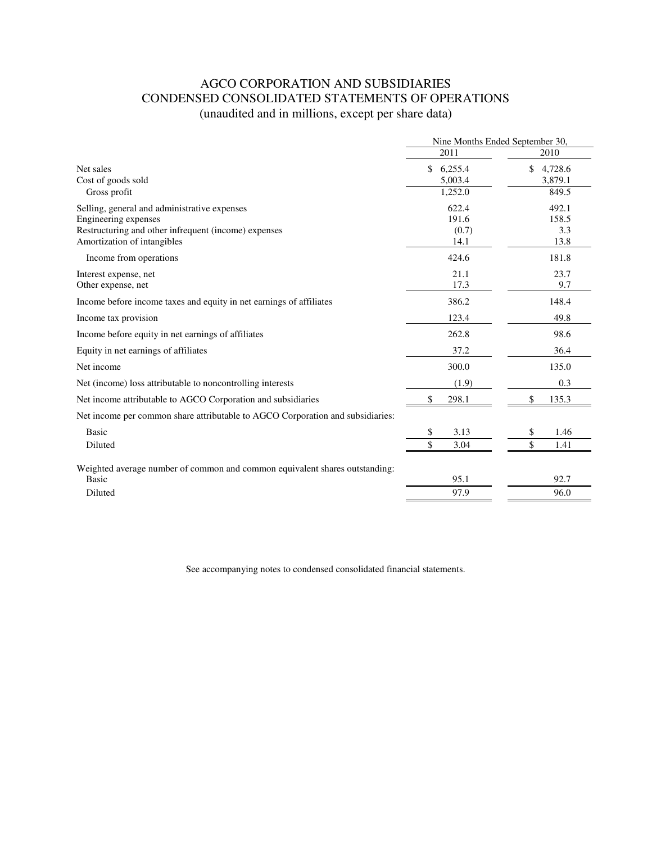# AGCO CORPORATION AND SUBSIDIARIES CONDENSED CONSOLIDATED STATEMENTS OF OPERATIONS (unaudited and in millions, except per share data)

|                                                                                | Nine Months Ended September 30, |               |
|--------------------------------------------------------------------------------|---------------------------------|---------------|
|                                                                                | 2011                            | 2010          |
| Net sales                                                                      | \$<br>6,255.4                   | \$<br>4,728.6 |
| Cost of goods sold                                                             | 5,003.4                         | 3,879.1       |
| Gross profit                                                                   | 1,252.0                         | 849.5         |
| Selling, general and administrative expenses                                   | 622.4                           | 492.1         |
| Engineering expenses                                                           | 191.6                           | 158.5         |
| Restructuring and other infrequent (income) expenses                           | (0.7)                           | 3.3           |
| Amortization of intangibles                                                    | 14.1                            | 13.8          |
| Income from operations                                                         | 424.6                           | 181.8         |
| Interest expense, net                                                          | 21.1                            | 23.7          |
| Other expense, net                                                             | 17.3                            | 9.7           |
| Income before income taxes and equity in net earnings of affiliates            | 386.2                           | 148.4         |
| Income tax provision                                                           | 123.4                           | 49.8          |
| Income before equity in net earnings of affiliates                             | 262.8                           | 98.6          |
| Equity in net earnings of affiliates                                           | 37.2                            | 36.4          |
| Net income                                                                     | 300.0                           | 135.0         |
| Net (income) loss attributable to noncontrolling interests                     | (1.9)                           | 0.3           |
| Net income attributable to AGCO Corporation and subsidiaries                   | \$<br>298.1                     | \$<br>135.3   |
| Net income per common share attributable to AGCO Corporation and subsidiaries: |                                 |               |
| <b>Basic</b>                                                                   | 3.13<br>\$                      | \$<br>1.46    |
| Diluted                                                                        | $\mathbf{\hat{S}}$<br>3.04      | \$<br>1.41    |
| Weighted average number of common and common equivalent shares outstanding:    |                                 |               |
| Basic                                                                          | 95.1                            | 92.7          |
| Diluted                                                                        | 97.9                            | 96.0          |
|                                                                                |                                 |               |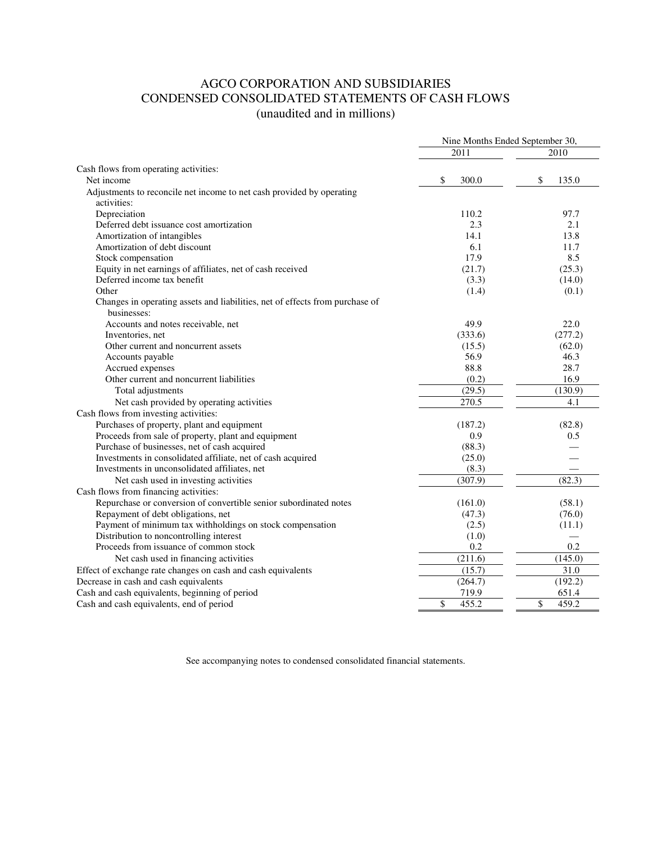# AGCO CORPORATION AND SUBSIDIARIES CONDENSED CONSOLIDATED STATEMENTS OF CASH FLOWS (unaudited and in millions)

|                                                                              | Nine Months Ended September 30, |             |  |
|------------------------------------------------------------------------------|---------------------------------|-------------|--|
|                                                                              | 2011                            | 2010        |  |
| Cash flows from operating activities:                                        |                                 |             |  |
| Net income                                                                   | \$<br>300.0                     | \$<br>135.0 |  |
| Adjustments to reconcile net income to net cash provided by operating        |                                 |             |  |
| activities:                                                                  |                                 |             |  |
| Depreciation                                                                 | 110.2                           | 97.7        |  |
| Deferred debt issuance cost amortization                                     | 2.3                             | 2.1         |  |
| Amortization of intangibles                                                  | 14.1                            | 13.8        |  |
| Amortization of debt discount                                                | 6.1                             | 11.7        |  |
| Stock compensation                                                           | 17.9                            | 8.5         |  |
| Equity in net earnings of affiliates, net of cash received                   | (21.7)                          | (25.3)      |  |
| Deferred income tax benefit                                                  | (3.3)                           | (14.0)      |  |
| Other                                                                        | (1.4)                           | (0.1)       |  |
| Changes in operating assets and liabilities, net of effects from purchase of |                                 |             |  |
| businesses:                                                                  |                                 |             |  |
| Accounts and notes receivable, net                                           | 49.9                            | 22.0        |  |
| Inventories, net                                                             | (333.6)                         | (277.2)     |  |
| Other current and noncurrent assets                                          | (15.5)                          | (62.0)      |  |
| Accounts payable                                                             | 56.9                            | 46.3        |  |
| Accrued expenses                                                             | 88.8                            | 28.7        |  |
| Other current and noncurrent liabilities                                     | (0.2)                           | 16.9        |  |
| Total adjustments                                                            | (29.5)                          | (130.9)     |  |
| Net cash provided by operating activities                                    | 270.5                           | 4.1         |  |
| Cash flows from investing activities:                                        |                                 |             |  |
| Purchases of property, plant and equipment                                   | (187.2)                         | (82.8)      |  |
| Proceeds from sale of property, plant and equipment                          | 0.9                             | 0.5         |  |
| Purchase of businesses, net of cash acquired                                 | (88.3)                          |             |  |
| Investments in consolidated affiliate, net of cash acquired                  | (25.0)                          |             |  |
| Investments in unconsolidated affiliates, net                                | (8.3)                           |             |  |
| Net cash used in investing activities                                        | (307.9)                         | (82.3)      |  |
| Cash flows from financing activities:                                        |                                 |             |  |
| Repurchase or conversion of convertible senior subordinated notes            | (161.0)                         | (58.1)      |  |
| Repayment of debt obligations, net                                           | (47.3)                          | (76.0)      |  |
| Payment of minimum tax withholdings on stock compensation                    | (2.5)                           | (11.1)      |  |
| Distribution to noncontrolling interest                                      | (1.0)                           |             |  |
| Proceeds from issuance of common stock                                       | 0.2                             | 0.2         |  |
| Net cash used in financing activities                                        | (211.6)                         | (145.0)     |  |
| Effect of exchange rate changes on cash and cash equivalents                 | (15.7)                          | 31.0        |  |
| Decrease in cash and cash equivalents                                        | (264.7)                         | (192.2)     |  |
| Cash and cash equivalents, beginning of period                               | 719.9                           | 651.4       |  |
| Cash and cash equivalents, end of period                                     | \$<br>455.2                     | \$<br>459.2 |  |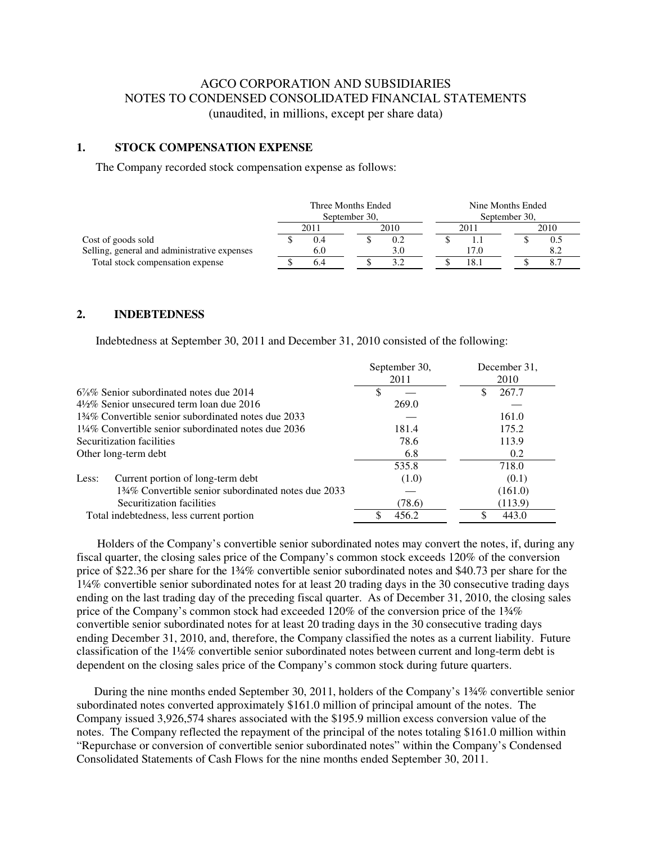# AGCO CORPORATION AND SUBSIDIARIES NOTES TO CONDENSED CONSOLIDATED FINANCIAL STATEMENTS (unaudited, in millions, except per share data)

### **1. STOCK COMPENSATION EXPENSE**

The Company recorded stock compensation expense as follows:

|                                              | Three Months Ended |      |               |      | Nine Months Ended |      |  |      |
|----------------------------------------------|--------------------|------|---------------|------|-------------------|------|--|------|
|                                              | September 30,      |      | September 30, |      |                   |      |  |      |
|                                              |                    | 2011 |               | 2010 |                   | 2011 |  | 2010 |
| Cost of goods sold                           |                    |      |               | 0.2  |                   |      |  | U.J  |
| Selling, general and administrative expenses |                    | 6.0  |               |      |                   | 17.0 |  |      |
| Total stock compensation expense             |                    |      |               |      |                   | 18.1 |  |      |

#### **2. INDEBTEDNESS**

Indebtedness at September 30, 2011 and December 31, 2010 consisted of the following:

|                                                      | September 30, | December 31, |
|------------------------------------------------------|---------------|--------------|
|                                                      | 2011          | 2010         |
| $6\%$ % Senior subordinated notes due 2014           |               | 267.7        |
| $4\frac{1}{2}\%$ Senior unsecured term loan due 2016 | 269.0         |              |
| 134% Convertible senior subordinated notes due 2033  |               | 161.0        |
| 1¼% Convertible senior subordinated notes due 2036   | 181.4         | 175.2        |
| Securitization facilities                            | 78.6          | 113.9        |
| Other long-term debt                                 | 6.8           | 0.2          |
|                                                      | 535.8         | 718.0        |
| Current portion of long-term debt<br>Less:           | (1.0)         | (0.1)        |
| 134% Convertible senior subordinated notes due 2033  |               | (161.0)      |
| Securitization facilities                            | (78.6)        | (113.9)      |
| Total indebtedness, less current portion             | 456.2         | 443.0        |

 Holders of the Company's convertible senior subordinated notes may convert the notes, if, during any fiscal quarter, the closing sales price of the Company's common stock exceeds 120% of the conversion price of \$22.36 per share for the 1¾% convertible senior subordinated notes and \$40.73 per share for the 1¼% convertible senior subordinated notes for at least 20 trading days in the 30 consecutive trading days ending on the last trading day of the preceding fiscal quarter. As of December 31, 2010, the closing sales price of the Company's common stock had exceeded 120% of the conversion price of the 1¾% convertible senior subordinated notes for at least 20 trading days in the 30 consecutive trading days ending December 31, 2010, and, therefore, the Company classified the notes as a current liability. Future classification of the 1¼% convertible senior subordinated notes between current and long-term debt is dependent on the closing sales price of the Company's common stock during future quarters.

 During the nine months ended September 30, 2011, holders of the Company's 1¾% convertible senior subordinated notes converted approximately \$161.0 million of principal amount of the notes. The Company issued 3,926,574 shares associated with the \$195.9 million excess conversion value of the notes. The Company reflected the repayment of the principal of the notes totaling \$161.0 million within "Repurchase or conversion of convertible senior subordinated notes" within the Company's Condensed Consolidated Statements of Cash Flows for the nine months ended September 30, 2011.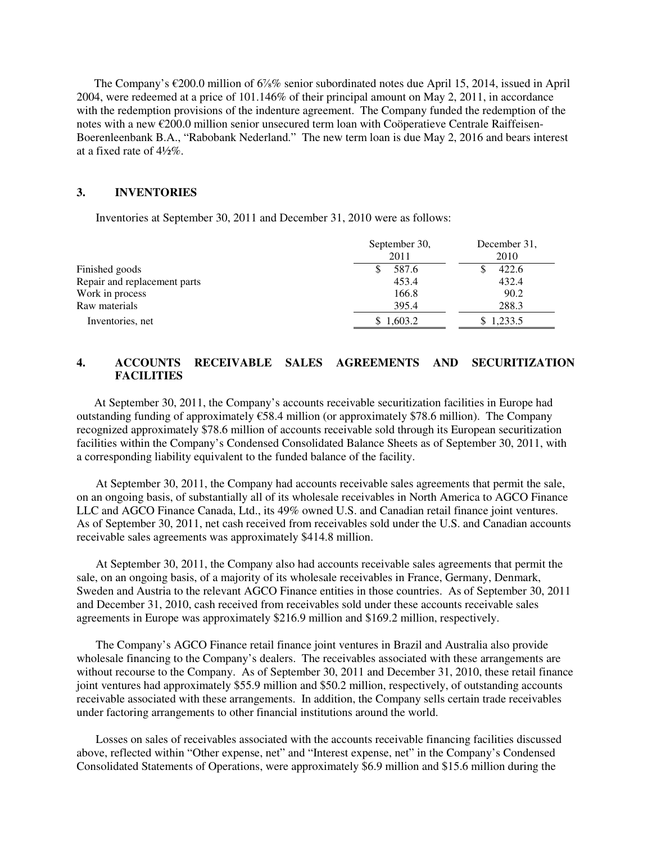The Company's €200.0 million of 6⅞% senior subordinated notes due April 15, 2014, issued in April 2004, were redeemed at a price of 101.146% of their principal amount on May 2, 2011, in accordance with the redemption provisions of the indenture agreement. The Company funded the redemption of the notes with a new €200.0 million senior unsecured term loan with Coöperatieve Centrale Raiffeisen-Boerenleenbank B.A., "Rabobank Nederland." The new term loan is due May 2, 2016 and bears interest at a fixed rate of 4½%.

## **3. INVENTORIES**

Inventories at September 30, 2011 and December 31, 2010 were as follows:

|                              | September 30,<br>2011 | December 31,<br>2010 |
|------------------------------|-----------------------|----------------------|
| Finished goods               | 587.6                 | 422.6                |
| Repair and replacement parts | 453.4                 | 432.4                |
| Work in process              | 166.8                 | 90.2                 |
| Raw materials                | 395.4                 | 288.3                |
| Inventories, net             | \$1,603.2             | \$1,233.5            |

## **4. ACCOUNTS RECEIVABLE SALES AGREEMENTS AND SECURITIZATION FACILITIES**

 At September 30, 2011, the Company's accounts receivable securitization facilities in Europe had outstanding funding of approximately €58.4 million (or approximately \$78.6 million). The Company recognized approximately \$78.6 million of accounts receivable sold through its European securitization facilities within the Company's Condensed Consolidated Balance Sheets as of September 30, 2011, with a corresponding liability equivalent to the funded balance of the facility.

At September 30, 2011, the Company had accounts receivable sales agreements that permit the sale, on an ongoing basis, of substantially all of its wholesale receivables in North America to AGCO Finance LLC and AGCO Finance Canada, Ltd., its 49% owned U.S. and Canadian retail finance joint ventures. As of September 30, 2011, net cash received from receivables sold under the U.S. and Canadian accounts receivable sales agreements was approximately \$414.8 million.

At September 30, 2011, the Company also had accounts receivable sales agreements that permit the sale, on an ongoing basis, of a majority of its wholesale receivables in France, Germany, Denmark, Sweden and Austria to the relevant AGCO Finance entities in those countries. As of September 30, 2011 and December 31, 2010, cash received from receivables sold under these accounts receivable sales agreements in Europe was approximately \$216.9 million and \$169.2 million, respectively.

The Company's AGCO Finance retail finance joint ventures in Brazil and Australia also provide wholesale financing to the Company's dealers. The receivables associated with these arrangements are without recourse to the Company. As of September 30, 2011 and December 31, 2010, these retail finance joint ventures had approximately \$55.9 million and \$50.2 million, respectively, of outstanding accounts receivable associated with these arrangements. In addition, the Company sells certain trade receivables under factoring arrangements to other financial institutions around the world.

Losses on sales of receivables associated with the accounts receivable financing facilities discussed above, reflected within "Other expense, net" and "Interest expense, net" in the Company's Condensed Consolidated Statements of Operations, were approximately \$6.9 million and \$15.6 million during the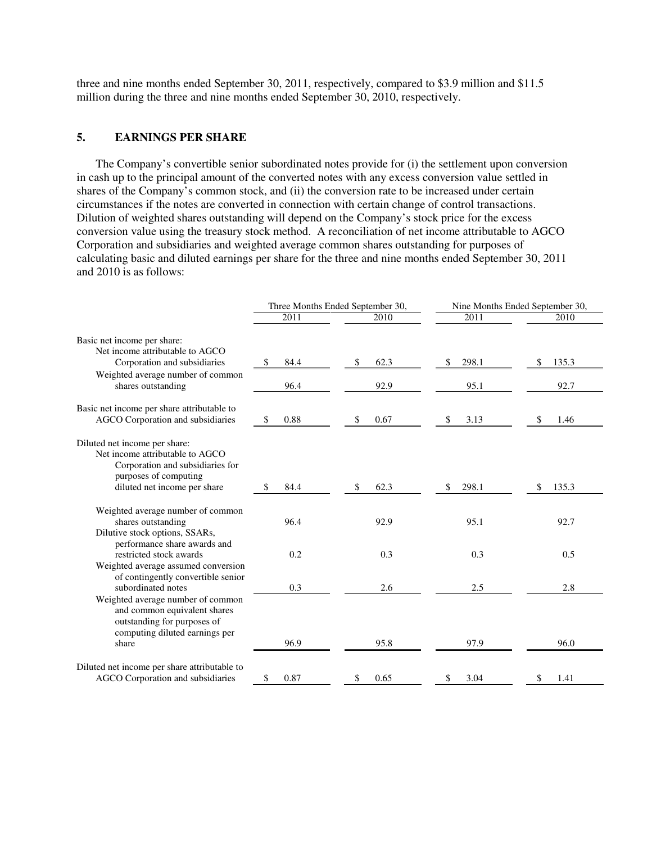three and nine months ended September 30, 2011, respectively, compared to \$3.9 million and \$11.5 million during the three and nine months ended September 30, 2010, respectively.

## **5. EARNINGS PER SHARE**

The Company's convertible senior subordinated notes provide for (i) the settlement upon conversion in cash up to the principal amount of the converted notes with any excess conversion value settled in shares of the Company's common stock, and (ii) the conversion rate to be increased under certain circumstances if the notes are converted in connection with certain change of control transactions. Dilution of weighted shares outstanding will depend on the Company's stock price for the excess conversion value using the treasury stock method. A reconciliation of net income attributable to AGCO Corporation and subsidiaries and weighted average common shares outstanding for purposes of calculating basic and diluted earnings per share for the three and nine months ended September 30, 2011 and 2010 is as follows:

|                                                                                                                                                               |            | Three Months Ended September 30, | Nine Months Ended September 30, |             |  |
|---------------------------------------------------------------------------------------------------------------------------------------------------------------|------------|----------------------------------|---------------------------------|-------------|--|
|                                                                                                                                                               | 2011       | 2010                             | 2011                            | 2010        |  |
| Basic net income per share:<br>Net income attributable to AGCO                                                                                                |            |                                  |                                 |             |  |
| Corporation and subsidiaries                                                                                                                                  | \$<br>84.4 | 62.3<br>\$                       | 298.1<br>\$                     | 135.3       |  |
| Weighted average number of common<br>shares outstanding                                                                                                       | 96.4       | 92.9                             | 95.1                            | 92.7        |  |
| Basic net income per share attributable to<br>AGCO Corporation and subsidiaries                                                                               | \$<br>0.88 | 0.67<br>S                        | 3.13<br>S                       | 1.46<br>S   |  |
| Diluted net income per share:<br>Net income attributable to AGCO<br>Corporation and subsidiaries for<br>purposes of computing<br>diluted net income per share | 84.4<br>\$ | 62.3<br>\$                       | 298.1<br>\$                     | 135.3<br>\$ |  |
| Weighted average number of common<br>shares outstanding<br>Dilutive stock options, SSARs,<br>performance share awards and                                     | 96.4       | 92.9                             | 95.1                            | 92.7        |  |
| restricted stock awards<br>Weighted average assumed conversion<br>of contingently convertible senior                                                          | 0.2        | 0.3                              | 0.3                             | 0.5         |  |
| subordinated notes                                                                                                                                            | 0.3        | 2.6                              | 2.5                             | 2.8         |  |
| Weighted average number of common<br>and common equivalent shares<br>outstanding for purposes of<br>computing diluted earnings per<br>share                   | 96.9       | 95.8                             | 97.9                            | 96.0        |  |
| Diluted net income per share attributable to<br>AGCO Corporation and subsidiaries                                                                             | 0.87<br>\$ | 0.65<br>\$                       | 3.04<br>\$                      | 1.41<br>S   |  |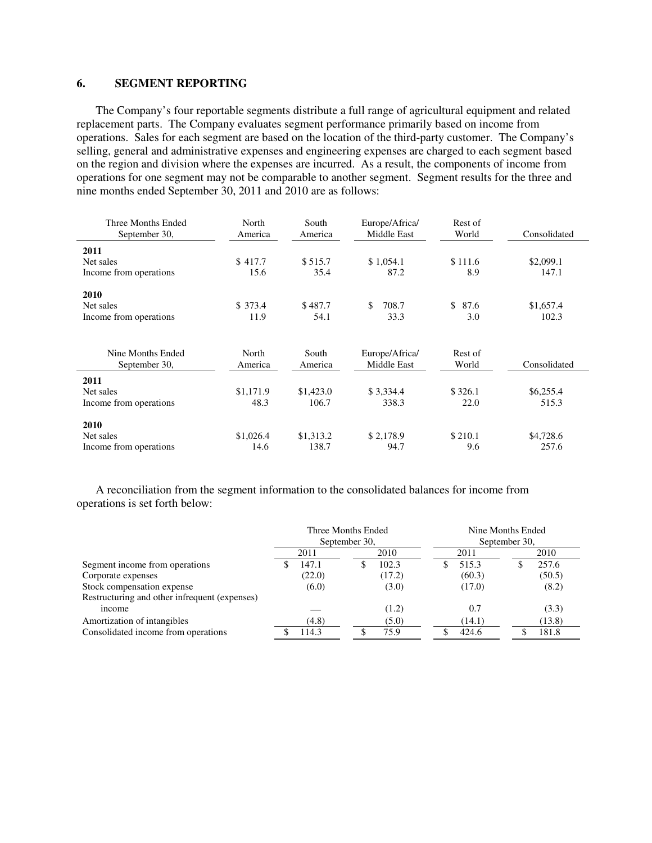### **6. SEGMENT REPORTING**

The Company's four reportable segments distribute a full range of agricultural equipment and related replacement parts. The Company evaluates segment performance primarily based on income from operations. Sales for each segment are based on the location of the third-party customer. The Company's selling, general and administrative expenses and engineering expenses are charged to each segment based on the region and division where the expenses are incurred. As a result, the components of income from operations for one segment may not be comparable to another segment. Segment results for the three and nine months ended September 30, 2011 and 2010 are as follows:

| Three Months Ended<br>September 30, | North<br>America | South<br>America | Europe/Africa/<br>Middle East | Rest of<br>World | Consolidated |
|-------------------------------------|------------------|------------------|-------------------------------|------------------|--------------|
| 2011                                |                  |                  |                               |                  |              |
| Net sales                           | \$417.7          | \$515.7          | \$1,054.1                     | \$111.6          | \$2,099.1    |
| Income from operations              | 15.6             | 35.4             | 87.2                          | 8.9              | 147.1        |
| 2010                                |                  |                  |                               |                  |              |
| Net sales                           | \$373.4          | \$487.7          | \$<br>708.7                   | \$<br>87.6       | \$1,657.4    |
| Income from operations              | 11.9             | 54.1             | 33.3                          | 3.0              | 102.3        |
|                                     |                  |                  |                               |                  |              |
| Nine Months Ended                   | North            | South            | Europe/Africa/                | Rest of          |              |
| September 30,                       | America          | America          | Middle East                   | World            | Consolidated |
| 2011                                |                  |                  |                               |                  |              |
| Net sales                           | \$1,171.9        | \$1,423.0        | \$3,334.4                     | \$326.1          | \$6,255.4    |
| Income from operations              | 48.3             | 106.7            | 338.3                         | 22.0             | 515.3        |
| 2010                                |                  |                  |                               |                  |              |
| Net sales                           | \$1,026.4        | \$1,313.2        | \$2,178.9                     | \$210.1          | \$4,728.6    |
| Income from operations              | 14.6             | 138.7            | 94.7                          | 9.6              | 257.6        |

A reconciliation from the segment information to the consolidated balances for income from operations is set forth below:

|                                               | Three Months Ended<br>September 30, |        | Nine Months Ended<br>September 30, |        |  |        |  |        |
|-----------------------------------------------|-------------------------------------|--------|------------------------------------|--------|--|--------|--|--------|
|                                               |                                     | 2011   |                                    | 2010   |  | 2011   |  | 2010   |
| Segment income from operations                |                                     | 147.1  | Ф                                  | 102.3  |  | 515.3  |  | 257.6  |
| Corporate expenses                            |                                     | (22.0) |                                    | (17.2) |  | (60.3) |  | (50.5) |
| Stock compensation expense                    |                                     | (6.0)  |                                    | (3.0)  |  | (17.0) |  | (8.2)  |
| Restructuring and other infrequent (expenses) |                                     |        |                                    |        |  |        |  |        |
| income                                        |                                     |        |                                    | (1.2)  |  | 0.7    |  | (3.3)  |
| Amortization of intangibles                   |                                     | (4.8)  |                                    | (5.0)  |  | (14.1) |  | (13.8) |
| Consolidated income from operations           |                                     | 114.3  |                                    | 75.9   |  | 424.6  |  | 181.8  |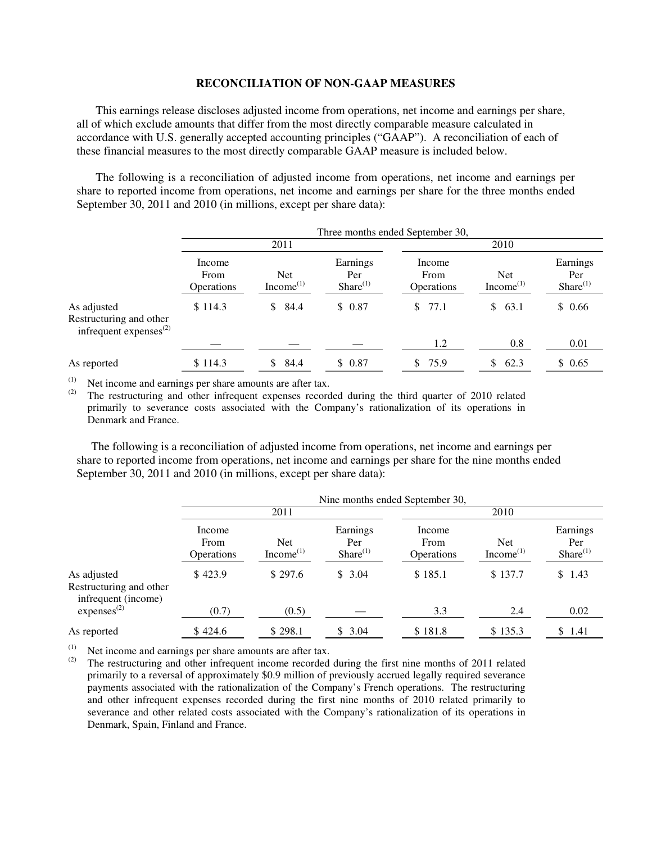#### **RECONCILIATION OF NON-GAAP MEASURES**

This earnings release discloses adjusted income from operations, net income and earnings per share, all of which exclude amounts that differ from the most directly comparable measure calculated in accordance with U.S. generally accepted accounting principles ("GAAP"). A reconciliation of each of these financial measures to the most directly comparable GAAP measure is included below.

The following is a reconciliation of adjusted income from operations, net income and earnings per share to reported income from operations, net income and earnings per share for the three months ended September 30, 2011 and 2010 (in millions, except per share data):

|                                                                        | Three months ended September 30, |                                     |                                   |                                     |                              |                                  |
|------------------------------------------------------------------------|----------------------------------|-------------------------------------|-----------------------------------|-------------------------------------|------------------------------|----------------------------------|
|                                                                        | 2011                             |                                     |                                   | 2010                                |                              |                                  |
|                                                                        | Income<br>From<br>Operations     | <b>Net</b><br>Income <sup>(1)</sup> | Earnings<br>Per<br>Share $^{(1)}$ | Income<br>From<br><b>Operations</b> | Net<br>Income <sup>(1)</sup> | Earnings<br>Per<br>$Share^{(1)}$ |
| As adjusted<br>Restructuring and other<br>infrequent expenses $^{(2)}$ | \$114.3                          | 84.4<br>S.                          | \$0.87                            | \$77.1                              | 63.1<br>\$.                  | \$0.66                           |
|                                                                        |                                  |                                     |                                   | 1.2                                 | 0.8                          | 0.01                             |
| As reported                                                            | \$114.3                          | 84.4<br>SS.                         | \$0.87                            | \$75.9                              | 62.3<br>\$.                  | \$0.65                           |

(1) Net income and earnings per share amounts are after tax.<br>(2) The restructuring and other infrequent expenses record

The restructuring and other infrequent expenses recorded during the third quarter of 2010 related primarily to severance costs associated with the Company's rationalization of its operations in Denmark and France.

 The following is a reconciliation of adjusted income from operations, net income and earnings per share to reported income from operations, net income and earnings per share for the nine months ended September 30, 2011 and 2010 (in millions, except per share data):

|                                                               | Nine months ended September 30,     |                                     |                                  |                              |                                     |                                  |
|---------------------------------------------------------------|-------------------------------------|-------------------------------------|----------------------------------|------------------------------|-------------------------------------|----------------------------------|
|                                                               | 2011                                |                                     |                                  | 2010                         |                                     |                                  |
|                                                               | Income<br>From<br><b>Operations</b> | <b>Net</b><br>Income <sup>(1)</sup> | Earnings<br>Per<br>$Share^{(1)}$ | Income<br>From<br>Operations | <b>Net</b><br>Income <sup>(1)</sup> | Earnings<br>Per<br>$Share^{(1)}$ |
| As adjusted<br>Restructuring and other<br>infrequent (income) | \$423.9                             | \$297.6                             | \$3.04                           | \$185.1                      | \$137.7                             | \$1.43                           |
| express <sup>(2)</sup>                                        | (0.7)                               | (0.5)                               |                                  | 3.3                          | 2.4                                 | 0.02                             |
| As reported                                                   | \$424.6                             | \$298.1                             | \$3.04                           | \$181.8                      | \$135.3                             | \$1.41                           |

(1) Net income and earnings per share amounts are after tax.<br>(2) The restructuring and other infragment income recorded

The restructuring and other infrequent income recorded during the first nine months of 2011 related primarily to a reversal of approximately \$0.9 million of previously accrued legally required severance payments associated with the rationalization of the Company's French operations. The restructuring and other infrequent expenses recorded during the first nine months of 2010 related primarily to severance and other related costs associated with the Company's rationalization of its operations in Denmark, Spain, Finland and France.